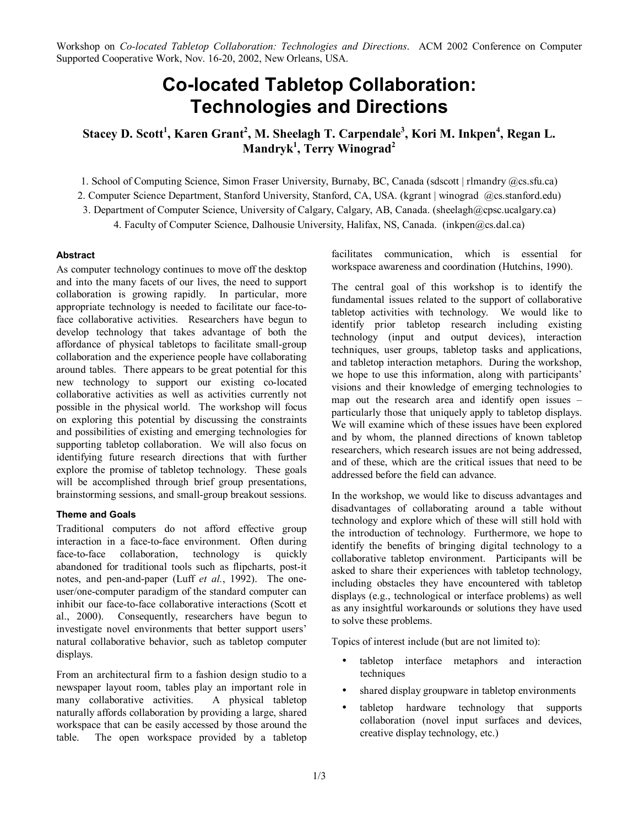Workshop on *Co-located Tabletop Collaboration: Technologies and Directions*. ACM 2002 Conference on Computer Supported Cooperative Work, Nov. 16-20, 2002, New Orleans, USA.

# **Co-located Tabletop Collaboration: Technologies and Directions**

**Stacey D. Scott<sup>1</sup> , Karen Grant<sup>2</sup> , M. Sheelagh T. Carpendale3 , Kori M. Inkpen<sup>4</sup> , Regan L. Mandryk1 , Terry Winograd<sup>2</sup>**

1. School of Computing Science, Simon Fraser University, Burnaby, BC, Canada (sdscott | rlmandry @cs.sfu.ca)

2. Computer Science Department, Stanford University, Stanford, CA, USA. (kgrant | winograd @cs.stanford.edu)

3. Department of Computer Science, University of Calgary, Calgary, AB, Canada. (sheelagh@cpsc.ucalgary.ca)

4. Faculty of Computer Science, Dalhousie University, Halifax, NS, Canada. (inkpen@cs.dal.ca)

# **Abstract**

As computer technology continues to move off the desktop and into the many facets of our lives, the need to support collaboration is growing rapidly. In particular, more appropriate technology is needed to facilitate our face-toface collaborative activities. Researchers have begun to develop technology that takes advantage of both the affordance of physical tabletops to facilitate small-group collaboration and the experience people have collaborating around tables. There appears to be great potential for this new technology to support our existing co-located collaborative activities as well as activities currently not possible in the physical world. The workshop will focus on exploring this potential by discussing the constraints and possibilities of existing and emerging technologies for supporting tabletop collaboration. We will also focus on identifying future research directions that with further explore the promise of tabletop technology. These goals will be accomplished through brief group presentations, brainstorming sessions, and small-group breakout sessions.

# **Theme and Goals**

Traditional computers do not afford effective group interaction in a face-to-face environment. Often during face-to-face collaboration, technology is quickly abandoned for traditional tools such as flipcharts, post-it notes, and pen-and-paper (Luff *et al.*, 1992). The oneuser/one-computer paradigm of the standard computer can inhibit our face-to-face collaborative interactions (Scott et al., 2000). Consequently, researchers have begun to investigate novel environments that better support users' natural collaborative behavior, such as tabletop computer displays.

From an architectural firm to a fashion design studio to a newspaper layout room, tables play an important role in many collaborative activities. A physical tabletop naturally affords collaboration by providing a large, shared workspace that can be easily accessed by those around the table. The open workspace provided by a tabletop facilitates communication, which is essential for workspace awareness and coordination (Hutchins, 1990).

The central goal of this workshop is to identify the fundamental issues related to the support of collaborative tabletop activities with technology. We would like to identify prior tabletop research including existing technology (input and output devices), interaction techniques, user groups, tabletop tasks and applications, and tabletop interaction metaphors. During the workshop, we hope to use this information, along with participants' visions and their knowledge of emerging technologies to map out the research area and identify open issues  $$ particularly those that uniquely apply to tabletop displays. We will examine which of these issues have been explored and by whom, the planned directions of known tabletop researchers, which research issues are not being addressed, and of these, which are the critical issues that need to be addressed before the field can advance.

In the workshop, we would like to discuss advantages and disadvantages of collaborating around a table without technology and explore which of these will still hold with the introduction of technology. Furthermore, we hope to identify the benefits of bringing digital technology to a collaborative tabletop environment. Participants will be asked to share their experiences with tabletop technology, including obstacles they have encountered with tabletop displays (e.g., technological or interface problems) as well as any insightful workarounds or solutions they have used to solve these problems.

Topics of interest include (but are not limited to):

- tabletop interface metaphors and interaction techniques
- shared display groupware in tabletop environments
- tabletop hardware technology that supports collaboration (novel input surfaces and devices, creative display technology, etc.)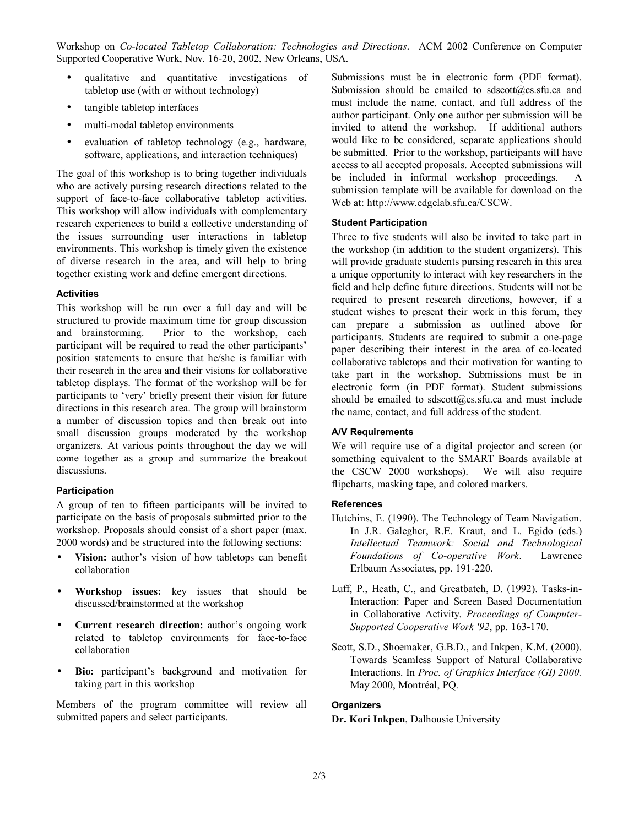Workshop on *Co-located Tabletop Collaboration: Technologies and Directions*. ACM 2002 Conference on Computer Supported Cooperative Work, Nov. 16-20, 2002, New Orleans, USA.

- qualitative and quantitative investigations of tabletop use (with or without technology)
- tangible tabletop interfaces
- multi-modal tabletop environments
- evaluation of tabletop technology (e.g., hardware, software, applications, and interaction techniques)

The goal of this workshop is to bring together individuals who are actively pursing research directions related to the support of face-to-face collaborative tabletop activities. This workshop will allow individuals with complementary research experiences to build a collective understanding of the issues surrounding user interactions in tabletop environments. This workshop is timely given the existence of diverse research in the area, and will help to bring together existing work and define emergent directions.

#### **Activities**

This workshop will be run over a full day and will be structured to provide maximum time for group discussion and brainstorming. Prior to the workshop, each participant will be required to read the other participants' position statements to ensure that he/she is familiar with their research in the area and their visions for collaborative tabletop displays. The format of the workshop will be for participants to 'very' briefly present their vision for future directions in this research area. The group will brainstorm a number of discussion topics and then break out into small discussion groups moderated by the workshop organizers. At various points throughout the day we will come together as a group and summarize the breakout discussions.

# **Participation**

A group of ten to fifteen participants will be invited to participate on the basis of proposals submitted prior to the workshop. Proposals should consist of a short paper (max. 2000 words) and be structured into the following sections:

- Vision: author's vision of how tabletops can benefit collaboration
- **Workshop issues:** key issues that should be discussed/brainstormed at the workshop
- **Current research direction:** author's ongoing work related to tabletop environments for face-to-face collaboration
- Bio: participant's background and motivation for taking part in this workshop

Members of the program committee will review all submitted papers and select participants.

Submissions must be in electronic form (PDF format). Submission should be emailed to sdscott@cs.sfu.ca and must include the name, contact, and full address of the author participant. Only one author per submission will be invited to attend the workshop. If additional authors would like to be considered, separate applications should be submitted. Prior to the workshop, participants will have access to all accepted proposals. Accepted submissions will be included in informal workshop proceedings. A submission template will be available for download on the Web at: http://www.edgelab.sfu.ca/CSCW.

# **Student Participation**

Three to five students will also be invited to take part in the workshop (in addition to the student organizers). This will provide graduate students pursing research in this area a unique opportunity to interact with key researchers in the field and help define future directions. Students will not be required to present research directions, however, if a student wishes to present their work in this forum, they can prepare a submission as outlined above for participants. Students are required to submit a one-page paper describing their interest in the area of co-located collaborative tabletops and their motivation for wanting to take part in the workshop. Submissions must be in electronic form (in PDF format). Student submissions should be emailed to sdscott@cs.sfu.ca and must include the name, contact, and full address of the student.

# **A/V Requirements**

We will require use of a digital projector and screen (or something equivalent to the SMART Boards available at the CSCW 2000 workshops). We will also require flipcharts, masking tape, and colored markers.

#### **References**

- Hutchins, E. (1990). The Technology of Team Navigation. In J.R. Galegher, R.E. Kraut, and L. Egido (eds.) *Intellectual Teamwork: Social and Technological Foundations of Co-operative Work*. Lawrence Erlbaum Associates, pp. 191-220.
- Luff, P., Heath, C., and Greatbatch, D. (1992). Tasks-in-Interaction: Paper and Screen Based Documentation in Collaborative Activity. *Proceedings of Computer-Supported Cooperative Work '92*, pp. 163-170.
- Scott, S.D., Shoemaker, G.B.D., and Inkpen, K.M. (2000). Towards Seamless Support of Natural Collaborative Interactions. In *Proc. of Graphics Interface (GI) 2000.* May 2000, Montréal, PQ.

# **Organizers**

# **Dr. Kori Inkpen**, Dalhousie University